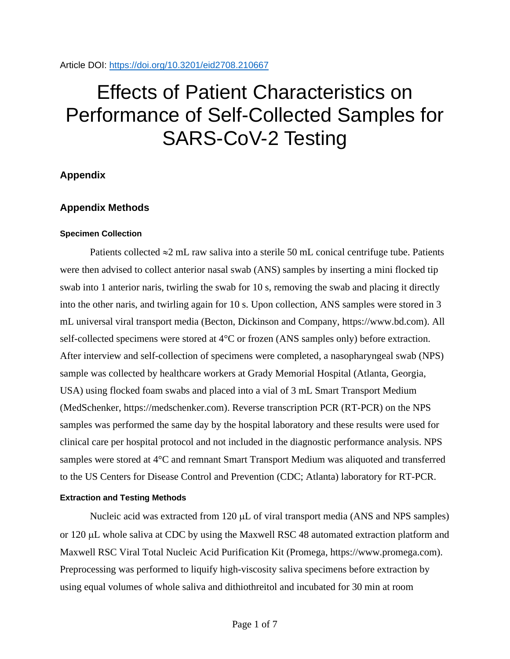# Effects of Patient Characteristics on Performance of Self-Collected Samples for SARS-CoV-2 Testing

# **Appendix**

# **Appendix Methods**

### **Specimen Collection**

Patients collected  $\approx$ 2 mL raw saliva into a sterile 50 mL conical centrifuge tube. Patients were then advised to collect anterior nasal swab (ANS) samples by inserting a mini flocked tip swab into 1 anterior naris, twirling the swab for 10 s, removing the swab and placing it directly into the other naris, and twirling again for 10 s. Upon collection, ANS samples were stored in 3 mL universal viral transport media (Becton, Dickinson and Company, https://www.bd.com). All self-collected specimens were stored at 4°C or frozen (ANS samples only) before extraction. After interview and self-collection of specimens were completed, a nasopharyngeal swab (NPS) sample was collected by healthcare workers at Grady Memorial Hospital (Atlanta, Georgia, USA) using flocked foam swabs and placed into a vial of 3 mL Smart Transport Medium (MedSchenker, https://medschenker.com). Reverse transcription PCR (RT-PCR) on the NPS samples was performed the same day by the hospital laboratory and these results were used for clinical care per hospital protocol and not included in the diagnostic performance analysis. NPS samples were stored at 4°C and remnant Smart Transport Medium was aliquoted and transferred to the US Centers for Disease Control and Prevention (CDC; Atlanta) laboratory for RT-PCR.

### **Extraction and Testing Methods**

Nucleic acid was extracted from 120 µL of viral transport media (ANS and NPS samples) or 120 µL whole saliva at CDC by using the Maxwell RSC 48 automated extraction platform and Maxwell RSC Viral Total Nucleic Acid Purification Kit (Promega, https://www.promega.com). Preprocessing was performed to liquify high-viscosity saliva specimens before extraction by using equal volumes of whole saliva and dithiothreitol and incubated for 30 min at room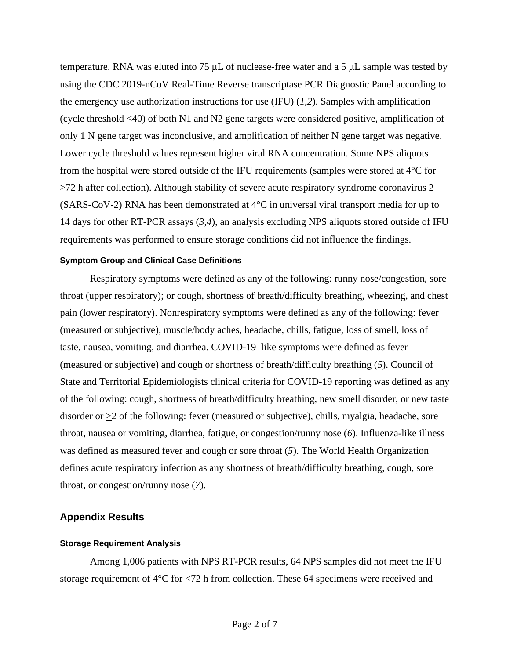temperature. RNA was eluted into 75  $\mu$ L of nuclease-free water and a 5  $\mu$ L sample was tested by using the CDC 2019-nCoV Real-Time Reverse transcriptase PCR Diagnostic Panel according to the emergency use authorization instructions for use (IFU) (*1*,*2*). Samples with amplification (cycle threshold <40) of both N1 and N2 gene targets were considered positive, amplification of only 1 N gene target was inconclusive, and amplification of neither N gene target was negative. Lower cycle threshold values represent higher viral RNA concentration. Some NPS aliquots from the hospital were stored outside of the IFU requirements (samples were stored at 4°C for >72 h after collection). Although stability of severe acute respiratory syndrome coronavirus 2 (SARS-CoV-2) RNA has been demonstrated at 4°C in universal viral transport media for up to 14 days for other RT-PCR assays (*3*,*4*), an analysis excluding NPS aliquots stored outside of IFU requirements was performed to ensure storage conditions did not influence the findings.

#### **Symptom Group and Clinical Case Definitions**

Respiratory symptoms were defined as any of the following: runny nose/congestion, sore throat (upper respiratory); or cough, shortness of breath/difficulty breathing, wheezing, and chest pain (lower respiratory). Nonrespiratory symptoms were defined as any of the following: fever (measured or subjective), muscle/body aches, headache, chills, fatigue, loss of smell, loss of taste, nausea, vomiting, and diarrhea. COVID-19–like symptoms were defined as fever (measured or subjective) and cough or shortness of breath/difficulty breathing (*5*). Council of State and Territorial Epidemiologists clinical criteria for COVID-19 reporting was defined as any of the following: cough, shortness of breath/difficulty breathing, new smell disorder, or new taste disorder or  $\geq$  2 of the following: fever (measured or subjective), chills, myalgia, headache, sore throat, nausea or vomiting, diarrhea, fatigue, or congestion/runny nose (*6*). Influenza-like illness was defined as measured fever and cough or sore throat (*5*). The World Health Organization defines acute respiratory infection as any shortness of breath/difficulty breathing, cough, sore throat, or congestion/runny nose (*7*).

## **Appendix Results**

#### **Storage Requirement Analysis**

Among 1,006 patients with NPS RT-PCR results, 64 NPS samples did not meet the IFU storage requirement of 4°C for <72 h from collection. These 64 specimens were received and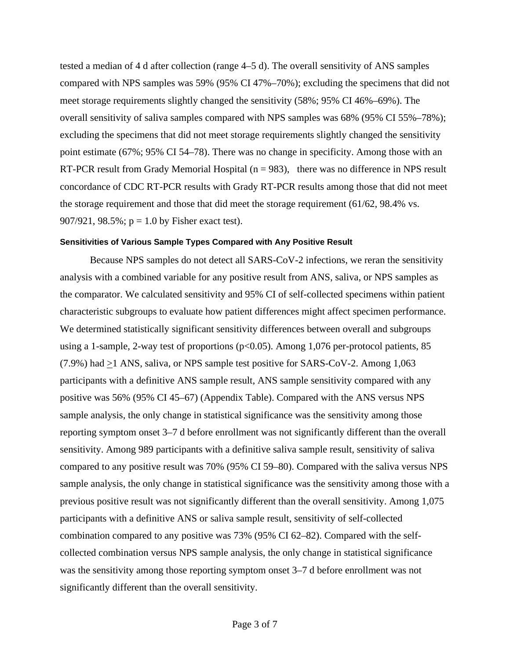tested a median of 4 d after collection (range 4–5 d). The overall sensitivity of ANS samples compared with NPS samples was 59% (95% CI 47%–70%); excluding the specimens that did not meet storage requirements slightly changed the sensitivity (58%; 95% CI 46%–69%). The overall sensitivity of saliva samples compared with NPS samples was 68% (95% CI 55%–78%); excluding the specimens that did not meet storage requirements slightly changed the sensitivity point estimate (67%; 95% CI 54–78). There was no change in specificity. Among those with an RT-PCR result from Grady Memorial Hospital  $(n = 983)$ , there was no difference in NPS result concordance of CDC RT-PCR results with Grady RT-PCR results among those that did not meet the storage requirement and those that did meet the storage requirement (61/62, 98.4% vs. 907/921,  $98.5\%$ ;  $p = 1.0$  by Fisher exact test).

#### **Sensitivities of Various Sample Types Compared with Any Positive Result**

Because NPS samples do not detect all SARS-CoV-2 infections, we reran the sensitivity analysis with a combined variable for any positive result from ANS, saliva, or NPS samples as the comparator. We calculated sensitivity and 95% CI of self-collected specimens within patient characteristic subgroups to evaluate how patient differences might affect specimen performance. We determined statistically significant sensitivity differences between overall and subgroups using a 1-sample, 2-way test of proportions ( $p<0.05$ ). Among 1,076 per-protocol patients, 85 (7.9%) had >1 ANS, saliva, or NPS sample test positive for SARS-CoV-2. Among 1,063 participants with a definitive ANS sample result, ANS sample sensitivity compared with any positive was 56% (95% CI 45–67) (Appendix Table). Compared with the ANS versus NPS sample analysis, the only change in statistical significance was the sensitivity among those reporting symptom onset 3–7 d before enrollment was not significantly different than the overall sensitivity. Among 989 participants with a definitive saliva sample result, sensitivity of saliva compared to any positive result was 70% (95% CI 59–80). Compared with the saliva versus NPS sample analysis, the only change in statistical significance was the sensitivity among those with a previous positive result was not significantly different than the overall sensitivity. Among 1,075 participants with a definitive ANS or saliva sample result, sensitivity of self-collected combination compared to any positive was 73% (95% CI 62–82). Compared with the selfcollected combination versus NPS sample analysis, the only change in statistical significance was the sensitivity among those reporting symptom onset 3–7 d before enrollment was not significantly different than the overall sensitivity.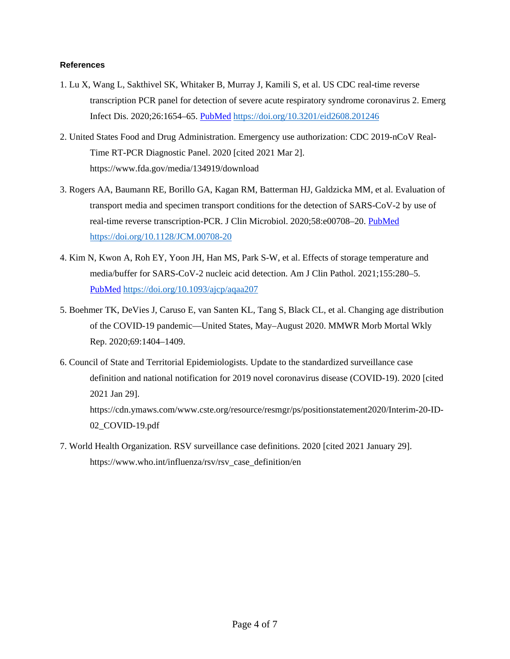#### **References**

- 1. Lu X, Wang L, Sakthivel SK, Whitaker B, Murray J, Kamili S, et al. US CDC real-time reverse transcription PCR panel for detection of severe acute respiratory syndrome coronavirus 2. Emerg Infect Dis. 2020;26:1654–65. [PubMed](https://www.ncbi.nlm.nih.gov/entrez/query.fcgi?cmd=Retrieve&db=PubMed&list_uids=32396505&dopt=Abstract) <https://doi.org/10.3201/eid2608.201246>
- 2. United States Food and Drug Administration. Emergency use authorization: CDC 2019-nCoV Real-Time RT-PCR Diagnostic Panel. 2020 [cited 2021 Mar 2]. https://www.fda.gov/media/134919/download
- 3. Rogers AA, Baumann RE, Borillo GA, Kagan RM, Batterman HJ, Galdzicka MM, et al. Evaluation of transport media and specimen transport conditions for the detection of SARS-CoV-2 by use of real-time reverse transcription-PCR. J Clin Microbiol. 2020;58:e00708–20. [PubMed](https://www.ncbi.nlm.nih.gov/entrez/query.fcgi?cmd=Retrieve&db=PubMed&list_uids=32341141&dopt=Abstract) <https://doi.org/10.1128/JCM.00708-20>
- 4. Kim N, Kwon A, Roh EY, Yoon JH, Han MS, Park S-W, et al. Effects of storage temperature and media/buffer for SARS-CoV-2 nucleic acid detection. Am J Clin Pathol. 2021;155:280–5. [PubMed](https://www.ncbi.nlm.nih.gov/entrez/query.fcgi?cmd=Retrieve&db=PubMed&list_uids=33067995&dopt=Abstract) <https://doi.org/10.1093/ajcp/aqaa207>
- 5. Boehmer TK, DeVies J, Caruso E, van Santen KL, Tang S, Black CL, et al. Changing age distribution of the COVID-19 pandemic—United States, May–August 2020. MMWR Morb Mortal Wkly Rep. 2020;69:1404–1409.
- 6. Council of State and Territorial Epidemiologists. Update to the standardized surveillance case definition and national notification for 2019 novel coronavirus disease (COVID-19). 2020 [cited 2021 Jan 29]. https://cdn.ymaws.com/www.cste.org/resource/resmgr/ps/positionstatement2020/Interim-20-ID-02\_COVID-19.pdf
- 7. World Health Organization. RSV surveillance case definitions. 2020 [cited 2021 January 29]. https://www.who.int/influenza/rsv/rsv\_case\_definition/en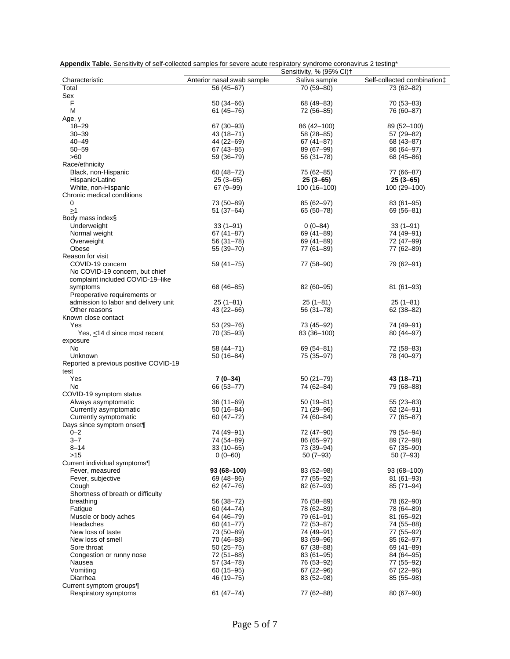|                                       |                            | Sensitivity, % (95% CI)+ |                             |
|---------------------------------------|----------------------------|--------------------------|-----------------------------|
| Characteristic                        | Anterior nasal swab sample | Saliva sample            | Self-collected combination‡ |
| Total                                 | 56 (45-67)                 | 70 (59-80)               | 73 (62-82)                  |
| Sex                                   |                            |                          |                             |
| F                                     | $50(34-66)$                | 68 (49 - 83)             | 70 (53 - 83)                |
| M                                     | $61(45 - 76)$              | 72 (56–85)               | 76 (60-87)                  |
| Age, y                                |                            |                          |                             |
| $18 - 29$                             | 67 (30 - 93)               | 86 (42 – 100)            | 89 (52-100)                 |
| $30 - 39$                             | 43 (18–71)                 | 58 (28 - 85)             | 57 (29-82)                  |
| $40 - 49$                             | 44 (22-69)                 | $67(41 - 87)$            | 68 (43-87)                  |
| $50 - 59$                             | $67(43 - 85)$              | 89 (67-99)               | 86 (64-97)                  |
| >60                                   | 59 (36-79)                 | 56 (31–78)               | 68 (45 - 86)                |
| Race/ethnicity                        |                            |                          |                             |
| Black, non-Hispanic                   | $60(48 - 72)$              | 75 (62-85)               | 77 (66-87)                  |
| Hispanic/Latino                       | $25(3 - 65)$               | $25(3-65)$               | $25(3-65)$                  |
| White, non-Hispanic                   | $67(9 - 99)$               | 100 (16-100)             | 100 (29-100)                |
| Chronic medical conditions            |                            |                          |                             |
| 0                                     | 73 (50-89)                 | 85 (62-97)               | $83(61-95)$                 |
| $\geq$ 1                              | $51(37-64)$                | 65 (50–78)               | 69 (56-81)                  |
| Body mass index§                      |                            |                          |                             |
| Underweight                           | $33(1-91)$                 | $0(0-84)$                | $33(1-91)$                  |
| Normal weight                         | $67(41 - 87)$              | 69 (41-89)               | 74 (49–91)                  |
| Overweight                            | 56 (31-78)                 | 69 (41-89)               | 72 (47-99)                  |
| Obese                                 | 55 (39-70)                 | 77 (61-89)               | 77 (62-89)                  |
| Reason for visit                      |                            |                          |                             |
| COVID-19 concern                      | 59 (41–75)                 | 77 (58-90)               | 79 (62-91)                  |
| No COVID-19 concern, but chief        |                            |                          |                             |
| complaint included COVID-19-like      |                            |                          |                             |
| symptoms                              | 68 (46-85)                 | 82 (60-95)               | $81(61-93)$                 |
| Preoperative requirements or          |                            |                          |                             |
| admission to labor and delivery unit  | $25(1 - 81)$               | $25(1 - 81)$             | $25(1-81)$                  |
| Other reasons                         | 43 (22 – 66)               | 56 (31–78)               | $62(38-82)$                 |
| Known close contact                   |                            |                          |                             |
| Yes                                   | 53 (29 - 76)               | 73 (45–92)               | 74 (49–91)                  |
| Yes, ≤14 d since most recent          | 70 (35–93)                 | 83 (36-100)              | 80 (44 - 97)                |
| exposure                              |                            |                          |                             |
| No                                    | 58 (44 - 71)               | 69 (54 - 81)             | 72 (58–83)                  |
| Unknown                               | 50 (16–84)                 | 75 (35-97)               | 78 (40-97)                  |
| Reported a previous positive COVID-19 |                            |                          |                             |
| test                                  |                            |                          |                             |
| Yes                                   | $7(0-34)$                  | $50(21 - 79)$            | 43 (18–71)                  |
| No                                    | 66 (53-77)                 | 74 (62–84)               | 79 (68–88)                  |
| COVID-19 symptom status               |                            |                          |                             |
| Always asymptomatic                   | $36(11-69)$                | 50 (19-81)               | $55(23-83)$                 |
| Currently asymptomatic                | $50(16-84)$                | 71 (29–96)               | $62(24 - 91)$               |
| Currently symptomatic                 | $60(47 - 72)$              | 74 (60–84)               | 77 (65-87)                  |
| Days since symptom onset¶             |                            |                          |                             |
| $0 - 2$                               | 74 (49-91)                 | 72 (47-90)               | 79 (54-94)                  |
| $3 - 7$                               | 74 (54-89)                 | 86 (65-97)               | 89 (72-98)                  |
| 8–14                                  | 33 (10–65)                 | 73 (39-94)               | 67 (35-90)                  |
| $>15$                                 | $0(0-60)$                  | $50(7-93)$               | $50(7-93)$                  |
| Current individual symptoms¶          |                            |                          |                             |
| Fever, measured                       | 93 (68–100)                | 83 (52-98)               | 93 (68-100)                 |
| Fever, subjective                     | 69 (48 - 86)               | 77 (55-92)               | $81(61 - 93)$               |
| Cough                                 | 62 (47–76)                 | 82 (67-93)               | 85 (71-94)                  |
| Shortness of breath or difficulty     |                            |                          |                             |
| breathing                             | 56 (38-72)                 | 76 (58-89)               | 78 (62-90)                  |
| Fatigue                               | 60 (44 - 74)               | 78 (62-89)               | 78 (64-89)                  |
| Muscle or body aches                  | 64 (46-79)                 | 79 (61–91)               | 81 (65-92)                  |
| Headaches                             | $60(41 - 77)$              | 72 (53-87)               | 74 (55-88)                  |
| New loss of taste                     | 73 (50-89)                 | 74 (49–91)               | 77 (55-92)                  |
| New loss of smell                     | 70 (46-88)                 | 83 (59-96)               | 85 (62-97)                  |
| Sore throat                           | $50(25 - 75)$              | 67 (38-88)               | 69 (41-89)                  |
| Congestion or runny nose              | 72 (51-88)                 | $83(61-95)$              | 84 (64–95)                  |
| Nausea                                | 57 (34–78)                 | 76 (53-92)               | 77 (55–92)                  |
| Vomiting                              | $60(15-95)$                | 67 (22-96)               | 67 (22-96)                  |
| Diarrhea                              | 46 (19–75)                 | 83 (52-98)               | 85 (55 - 98)                |
| Current symptom groups¶               |                            |                          |                             |
| Respiratory symptoms                  | $61(47 - 74)$              | 77 (62-88)               | 80 (67-90)                  |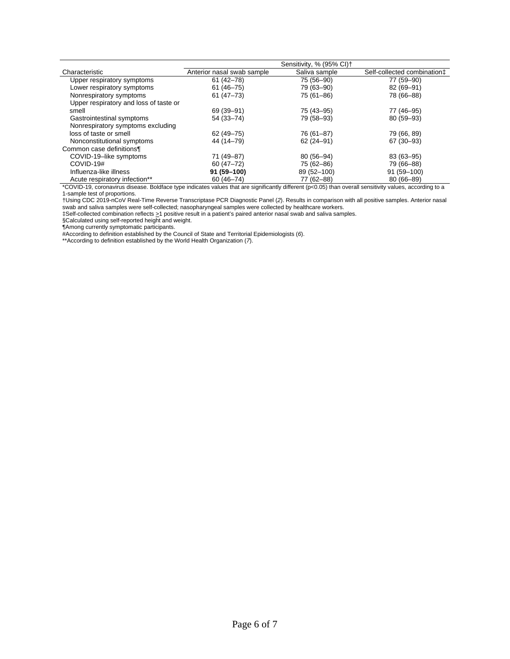|                                        |                            | Sensitivity, % (95% CI) <sup>+</sup> |                                         |
|----------------------------------------|----------------------------|--------------------------------------|-----------------------------------------|
| Characteristic                         | Anterior nasal swab sample | Saliva sample                        | Self-collected combination <sup>±</sup> |
| Upper respiratory symptoms             | $61(42 - 78)$              | 75 (56-90)                           | 77 (59-90)                              |
| Lower respiratory symptoms             | $61(46 - 75)$              | 79 (63-90)                           | 82 (69-91)                              |
| Nonrespiratory symptoms                | $61(47 - 73)$              | 75 (61-86)                           | 78 (66-88)                              |
| Upper respiratory and loss of taste or |                            |                                      |                                         |
| smell                                  | 69 (39-91)                 | 75 (43 - 95)                         | 77 (46-95)                              |
| Gastrointestinal symptoms              | 54 (33-74)                 | 79 (58–93)                           | 80 (59-93)                              |
| Nonrespiratory symptoms excluding      |                            |                                      |                                         |
| loss of taste or smell                 | 62 (49 - 75)               | 76 (61-87)                           | 79 (66, 89)                             |
| Nonconstitutional symptoms             | 44 (14–79)                 | $62(24-91)$                          | 67 (30-93)                              |
| Common case definitions¶               |                            |                                      |                                         |
| COVID-19-like symptoms                 | 71 (49-87)                 | 80 (56-94)                           | 83 (63-95)                              |
| COVID-19#                              | $60(47 - 72)$              | 75 (62-86)                           | 79 (66-88)                              |
| Influenza-like illness                 | 91 (59-100)                | 89 (52-100)                          | 91 (59-100)                             |
| Acute respiratory infection**          | $60(46 - 74)$              | 77 (62-88)                           | $80(66 - 89)$                           |

\*COVID-19, coronavirus disease. Boldface type indicates values that are significantly different (p<0.05) than overall sensitivity values, according to a 1-sample test of proportions.

†Using CDC 2019-nCoV Real-Time Reverse Transcriptase PCR Diagnostic Panel (*2*). Results in comparison with all positive samples. Anterior nasal swab and saliva samples were self-collected; nasopharyngeal samples were collected by healthcare workers.

‡Self-collected combination reflects >1 positive result in a patient's paired anterior nasal swab and saliva samples.

§Calculated using self-reported height and weight.

¶Among currently symptomatic participants.

#According to definition established by the Council of State and Territorial Epidemiologists (*6*).

\*\*According to definition established by the World Health Organization (*7*).